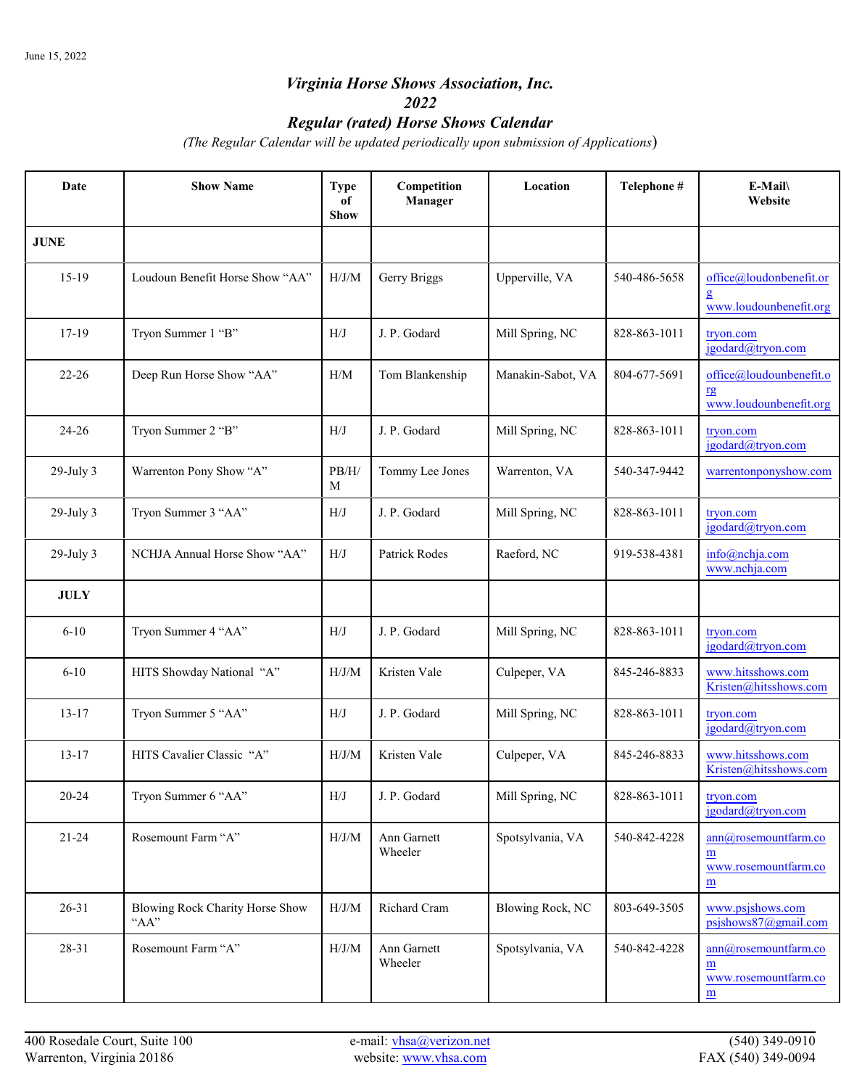## *Virginia Horse Shows Association, Inc. 2022*

## *Regular (rated) Horse Shows Calendar*

*(The Regular Calendar will be updated periodically upon submission of Applications*)

| Date           | <b>Show Name</b>                        | <b>Type</b><br>of<br><b>Show</b> | Competition<br>Manager | Location          | Telephone #  | E-Mail<br>Website                                       |
|----------------|-----------------------------------------|----------------------------------|------------------------|-------------------|--------------|---------------------------------------------------------|
| <b>JUNE</b>    |                                         |                                  |                        |                   |              |                                                         |
| $15-19$        | Loudoun Benefit Horse Show "AA"         | H/J/M                            | Gerry Briggs           | Upperville, VA    | 540-486-5658 | office@loudonbenefit.or<br>www.loudounbenefit.org       |
| 17-19          | Tryon Summer 1 "B"                      | H/J                              | J. P. Godard           | Mill Spring, NC   | 828-863-1011 | tryon.com<br>jgodard@tryon.com                          |
| $22 - 26$      | Deep Run Horse Show "AA"                | H/M                              | Tom Blankenship        | Manakin-Sabot, VA | 804-677-5691 | office@loudounbenefit.o<br>rg<br>www.loudounbenefit.org |
| $24 - 26$      | Tryon Summer 2 "B"                      | H/J                              | J. P. Godard           | Mill Spring, NC   | 828-863-1011 | tryon.com<br>jgodard@tryon.com                          |
| $29$ -July $3$ | Warrenton Pony Show "A"                 | PB/H/<br>M                       | Tommy Lee Jones        | Warrenton, VA     | 540-347-9442 | warrentonponyshow.com                                   |
| $29$ -July 3   | Tryon Summer 3 "AA"                     | H/J                              | J. P. Godard           | Mill Spring, NC   | 828-863-1011 | tryon.com<br>jgodard@tryon.com                          |
| $29$ -July $3$ | NCHJA Annual Horse Show "AA"            | H/J                              | <b>Patrick Rodes</b>   | Raeford, NC       | 919-538-4381 | info@nchja.com<br>www.nchja.com                         |
| <b>JULY</b>    |                                         |                                  |                        |                   |              |                                                         |
| $6 - 10$       | Tryon Summer 4 "AA"                     | H/J                              | J. P. Godard           | Mill Spring, NC   | 828-863-1011 | tryon.com<br>igodard@tryon.com                          |
| $6 - 10$       | HITS Showday National "A"               | H/J/M                            | Kristen Vale           | Culpeper, VA      | 845-246-8833 | www.hitsshows.com<br>Kristen@hitsshows.com              |
| $13 - 17$      | Tryon Summer 5 "AA"                     | H/J                              | J. P. Godard           | Mill Spring, NC   | 828-863-1011 | tryon.com<br>igodard@tryon.com                          |
| $13 - 17$      | HITS Cavalier Classic "A"               | H/J/M                            | Kristen Vale           | Culpeper, VA      | 845-246-8833 | www.hitsshows.com<br>Kristen@hitsshows.com              |
| $20 - 24$      | Tryon Summer 6 "AA"                     | H/J                              | J. P. Godard           | Mill Spring, NC   | 828-863-1011 | tryon.com<br>jgodard@tryon.com                          |
| $21 - 24$      | Rosemount Farm "A"                      | $\rm H/J/M$                      | Ann Garnett<br>Wheeler | Spotsylvania, VA  | 540-842-4228 | ann@rosemountfarm.co<br>m<br>www.rosemountfarm.co<br>m  |
| $26 - 31$      | Blowing Rock Charity Horse Show<br>"AA" | H/J/M                            | Richard Cram           | Blowing Rock, NC  | 803-649-3505 | www.psjshows.com<br>$psishows87$ @gmail.com             |
| 28-31          | Rosemount Farm "A"                      | $\rm H/J/M$                      | Ann Garnett<br>Wheeler | Spotsylvania, VA  | 540-842-4228 | ann@rosemountfarm.co<br>m<br>www.rosemountfarm.co<br>m  |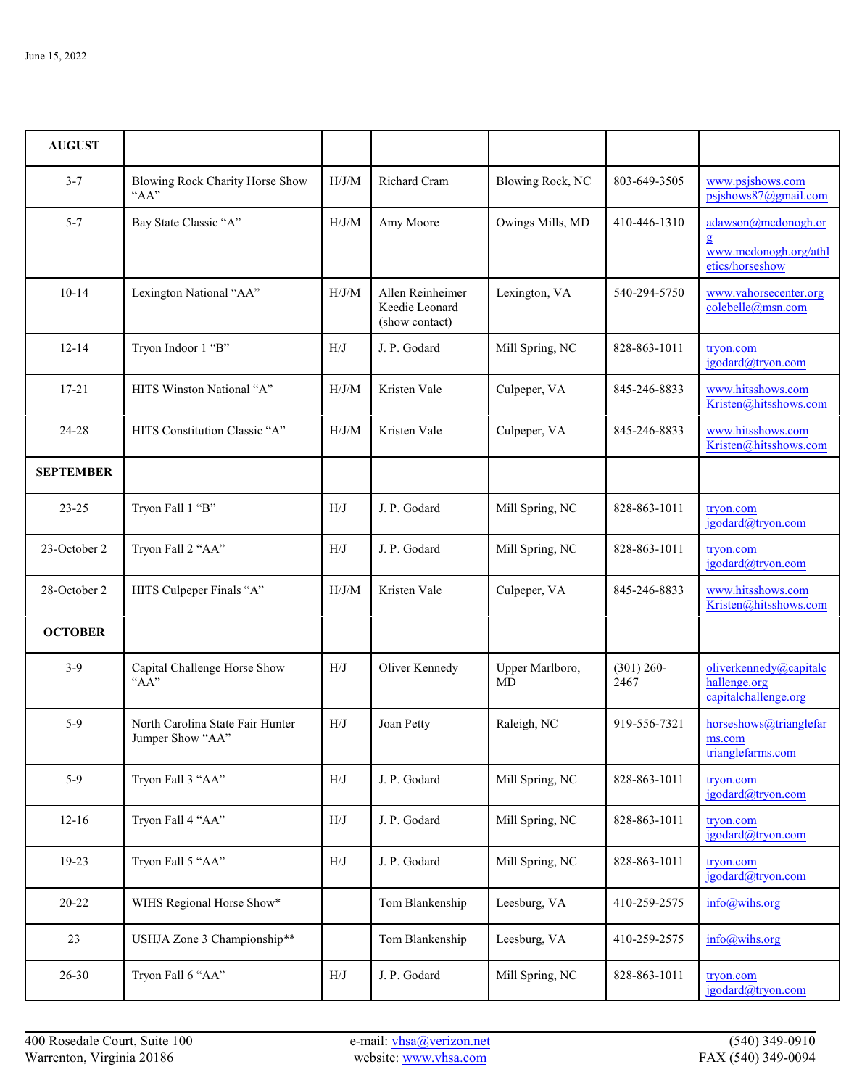| <b>AUGUST</b>    |                                                      |       |                                                      |                       |                       |                                                                 |
|------------------|------------------------------------------------------|-------|------------------------------------------------------|-----------------------|-----------------------|-----------------------------------------------------------------|
| $3 - 7$          | Blowing Rock Charity Horse Show<br>"AA"              | H/J/M | <b>Richard Cram</b>                                  | Blowing Rock, NC      | 803-649-3505          | www.psjshows.com<br>$psishows87$ @gmail.com                     |
| $5 - 7$          | Bay State Classic "A"                                | H/J/M | Amy Moore                                            | Owings Mills, MD      | 410-446-1310          | adawson@mcdonogh.or<br>www.mcdonogh.org/athl<br>etics/horseshow |
| $10-14$          | Lexington National "AA"                              | H/J/M | Allen Reinheimer<br>Keedie Leonard<br>(show contact) | Lexington, VA         | 540-294-5750          | www.vahorsecenter.org<br>colebelle@msn.com                      |
| $12 - 14$        | Tryon Indoor 1 "B"                                   | H/J   | J. P. Godard                                         | Mill Spring, NC       | 828-863-1011          | tryon.com<br>jgodard@tryon.com                                  |
| $17 - 21$        | HITS Winston National "A"                            | H/J/M | Kristen Vale                                         | Culpeper, VA          | 845-246-8833          | www.hitsshows.com<br>Kristen@hitsshows.com                      |
| 24-28            | HITS Constitution Classic "A"                        | H/J/M | Kristen Vale                                         | Culpeper, VA          | 845-246-8833          | www.hitsshows.com<br>Kristen@hitsshows.com                      |
| <b>SEPTEMBER</b> |                                                      |       |                                                      |                       |                       |                                                                 |
| $23 - 25$        | Tryon Fall 1 "B"                                     | H/J   | J. P. Godard                                         | Mill Spring, NC       | 828-863-1011          | tryon.com<br>jgodard@tryon.com                                  |
| 23-October 2     | Tryon Fall 2 "AA"                                    | H/J   | J. P. Godard                                         | Mill Spring, NC       | 828-863-1011          | tryon.com<br>jgodard@tryon.com                                  |
| 28-October 2     | HITS Culpeper Finals "A"                             | H/J/M | Kristen Vale                                         | Culpeper, VA          | 845-246-8833          | www.hitsshows.com<br>Kristen@hitsshows.com                      |
| <b>OCTOBER</b>   |                                                      |       |                                                      |                       |                       |                                                                 |
| $3-9$            | Capital Challenge Horse Show<br>"AA"                 | H/J   | Oliver Kennedy                                       | Upper Marlboro,<br>MD | $(301) 260 -$<br>2467 | oliverkennedy@capitalc<br>hallenge.org<br>capitalchallenge.org  |
| $5-9$            | North Carolina State Fair Hunter<br>Jumper Show "AA" | H/J   | Joan Petty                                           | Raleigh, NC           | 919-556-7321          | horseshows@trianglefar<br>ms.com<br>trianglefarms.com           |
| $5-9$            | Tryon Fall 3 "AA"                                    | H/J   | J. P. Godard                                         | Mill Spring, NC       | 828-863-1011          | tryon.com<br>jgodard@tryon.com                                  |
| $12-16$          | Tryon Fall 4 "AA"                                    | H/J   | J. P. Godard                                         | Mill Spring, NC       | 828-863-1011          | tryon.com<br>jgodard@tryon.com                                  |
| 19-23            | Tryon Fall 5 "AA"                                    | H/J   | J. P. Godard                                         | Mill Spring, NC       | 828-863-1011          | tryon.com<br>jgodard@tryon.com                                  |
| 20-22            | WIHS Regional Horse Show*                            |       | Tom Blankenship                                      | Leesburg, VA          | 410-259-2575          | info@wihs.org                                                   |
| 23               | USHJA Zone 3 Championship**                          |       | Tom Blankenship                                      | Leesburg, VA          | 410-259-2575          | info@wihs.org                                                   |
| 26-30            | Tryon Fall 6 "AA"                                    | H/J   | J. P. Godard                                         | Mill Spring, NC       | 828-863-1011          | tryon.com<br>jgodard@tryon.com                                  |